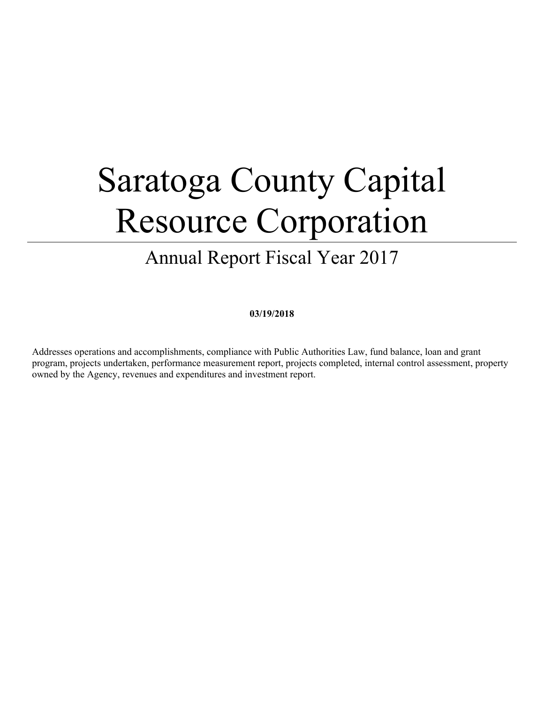# Saratoga County Capital Resource Corporation

# Annual Report Fiscal Year 2017

#### **03/19/2018**

Addresses operations and accomplishments, compliance with Public Authorities Law, fund balance, loan and grant program, projects undertaken, performance measurement report, projects completed, internal control assessment, property owned by the Agency, revenues and expenditures and investment report.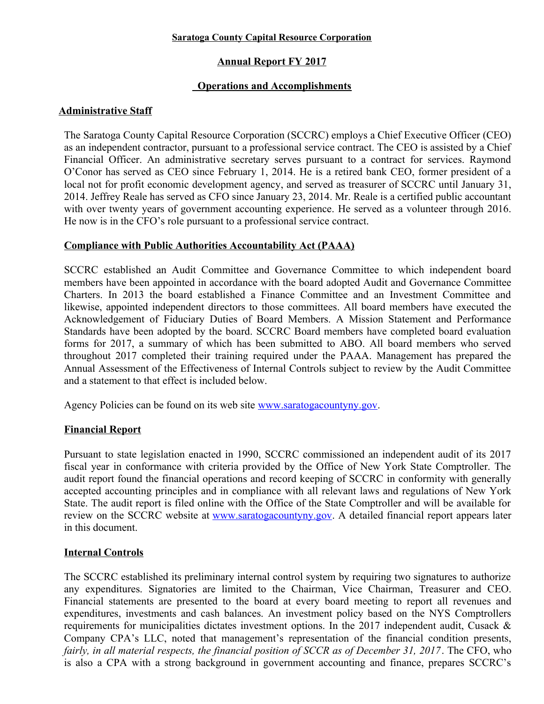#### **Saratoga County Capital Resource Corporation**

## **Annual Report FY 2017**

## **Operations and Accomplishments**

#### **Administrative Staff**

The Saratoga County Capital Resource Corporation (SCCRC) employs a Chief Executive Officer (CEO) as an independent contractor, pursuant to a professional service contract. The CEO is assisted by a Chief Financial Officer. An administrative secretary serves pursuant to a contract for services. Raymond O'Conor has served as CEO since February 1, 2014. He is a retired bank CEO, former president of a local not for profit economic development agency, and served as treasurer of SCCRC until January 31, 2014. Jeffrey Reale has served as CFO since January 23, 2014. Mr. Reale is a certified public accountant with over twenty years of government accounting experience. He served as a volunteer through 2016. He now is in the CFO's role pursuant to a professional service contract.

#### **Compliance with Public Authorities Accountability Act (PAAA)**

SCCRC established an Audit Committee and Governance Committee to which independent board members have been appointed in accordance with the board adopted Audit and Governance Committee Charters. In 2013 the board established a Finance Committee and an Investment Committee and likewise, appointed independent directors to those committees. All board members have executed the Acknowledgement of Fiduciary Duties of Board Members. A Mission Statement and Performance Standards have been adopted by the board. SCCRC Board members have completed board evaluation forms for 2017, a summary of which has been submitted to ABO. All board members who served throughout 2017 completed their training required under the PAAA. Management has prepared the Annual Assessment of the Effectiveness of Internal Controls subject to review by the Audit Committee and a statement to that effect is included below.

Agency Policies can be found on its web site <u>www.saratogacountyny.gov</u>.

#### **Financial Report**

Pursuant to state legislation enacted in 1990, SCCRC commissioned an independent audit of its 2017 fiscal year in conformance with criteria provided by the Office of New York State Comptroller. The audit report found the financial operations and record keeping of SCCRC in conformity with generally accepted accounting principles and in compliance with all relevant laws and regulations of New York State. The audit report is filed online with the Office of the State Comptroller and will be available for review on the SCCRC website at [www.saratogacountyny.gov.](http://www.saratogacountyny.gov/) A detailed financial report appears later in this document.

## **Internal Controls**

The SCCRC established its preliminary internal control system by requiring two signatures to authorize any expenditures. Signatories are limited to the Chairman, Vice Chairman, Treasurer and CEO. Financial statements are presented to the board at every board meeting to report all revenues and expenditures, investments and cash balances. An investment policy based on the NYS Comptrollers requirements for municipalities dictates investment options. In the 2017 independent audit, Cusack & Company CPA's LLC, noted that management's representation of the financial condition presents, *fairly, in all material respects, the financial position of SCCR as of December 31, 2017*. The CFO, who is also a CPA with a strong background in government accounting and finance, prepares SCCRC's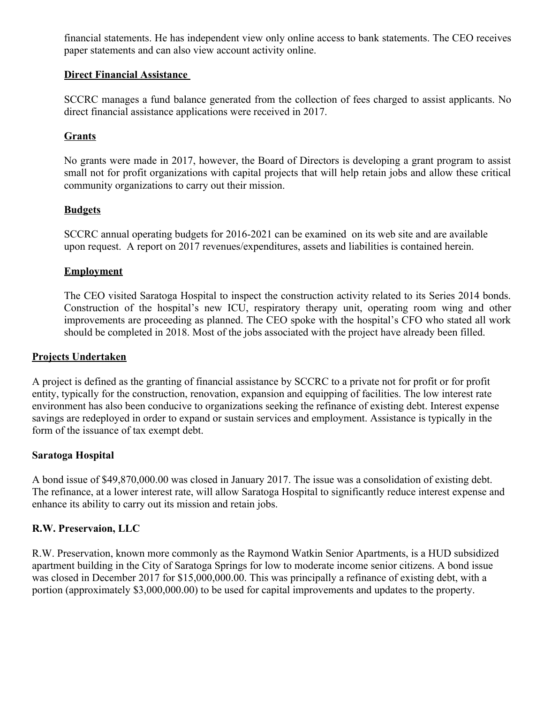financial statements. He has independent view only online access to bank statements. The CEO receives paper statements and can also view account activity online.

#### **Direct Financial Assistance**

SCCRC manages a fund balance generated from the collection of fees charged to assist applicants. No direct financial assistance applications were received in 2017.

#### **Grants**

No grants were made in 2017, however, the Board of Directors is developing a grant program to assist small not for profit organizations with capital projects that will help retain jobs and allow these critical community organizations to carry out their mission.

#### **Budgets**

SCCRC annual operating budgets for 2016-2021 can be examined on its web site and are available upon request. A report on 2017 revenues/expenditures, assets and liabilities is contained herein.

#### **Employment**

The CEO visited Saratoga Hospital to inspect the construction activity related to its Series 2014 bonds. Construction of the hospital's new ICU, respiratory therapy unit, operating room wing and other improvements are proceeding as planned. The CEO spoke with the hospital's CFO who stated all work should be completed in 2018. Most of the jobs associated with the project have already been filled.

#### **Projects Undertaken**

A project is defined as the granting of financial assistance by SCCRC to a private not for profit or for profit entity, typically for the construction, renovation, expansion and equipping of facilities. The low interest rate environment has also been conducive to organizations seeking the refinance of existing debt. Interest expense savings are redeployed in order to expand or sustain services and employment. Assistance is typically in the form of the issuance of tax exempt debt.

#### **Saratoga Hospital**

A bond issue of \$49,870,000.00 was closed in January 2017. The issue was a consolidation of existing debt. The refinance, at a lower interest rate, will allow Saratoga Hospital to significantly reduce interest expense and enhance its ability to carry out its mission and retain jobs.

## **R.W. Preservaion, LLC**

R.W. Preservation, known more commonly as the Raymond Watkin Senior Apartments, is a HUD subsidized apartment building in the City of Saratoga Springs for low to moderate income senior citizens. A bond issue was closed in December 2017 for \$15,000,000,00. This was principally a refinance of existing debt, with a portion (approximately \$3,000,000.00) to be used for capital improvements and updates to the property.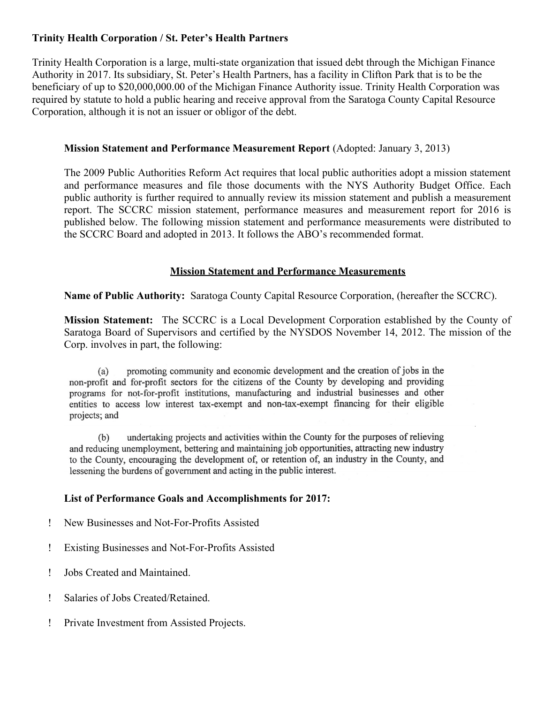#### **Trinity Health Corporation / St. Peter's Health Partners**

Trinity Health Corporation is a large, multi-state organization that issued debt through the Michigan Finance Authority in 2017. Its subsidiary, St. Peter's Health Partners, has a facility in Clifton Park that is to be the beneficiary of up to \$20,000,000.00 of the Michigan Finance Authority issue. Trinity Health Corporation was required by statute to hold a public hearing and receive approval from the Saratoga County Capital Resource Corporation, although it is not an issuer or obligor of the debt.

#### **Mission Statement and Performance Measurement Report** (Adopted: January 3, 2013)

The 2009 Public Authorities Reform Act requires that local public authorities adopt a mission statement and performance measures and file those documents with the NYS Authority Budget Office. Each public authority is further required to annually review its mission statement and publish a measurement report. The SCCRC mission statement, performance measures and measurement report for 2016 is published below. The following mission statement and performance measurements were distributed to the SCCRC Board and adopted in 2013. It follows the ABO's recommended format.

#### **Mission Statement and Performance Measurements**

**Name of Public Authority:** Saratoga County Capital Resource Corporation, (hereafter the SCCRC).

**Mission Statement:** The SCCRC is a Local Development Corporation established by the County of Saratoga Board of Supervisors and certified by the NYSDOS November 14, 2012. The mission of the Corp. involves in part, the following:

promoting community and economic development and the creation of jobs in the  $(a)$ non-profit and for-profit sectors for the citizens of the County by developing and providing programs for not-for-profit institutions, manufacturing and industrial businesses and other entities to access low interest tax-exempt and non-tax-exempt financing for their eligible projects; and

undertaking projects and activities within the County for the purposes of relieving  $(b)$ and reducing unemployment, bettering and maintaining job opportunities, attracting new industry to the County, encouraging the development of, or retention of, an industry in the County, and lessening the burdens of government and acting in the public interest.

#### **List of Performance Goals and Accomplishments for 2017:**

- New Businesses and Not-For-Profits Assisted
- Existing Businesses and Not-For-Profits Assisted
- Jobs Created and Maintained.
- Salaries of Jobs Created/Retained.
- Private Investment from Assisted Projects.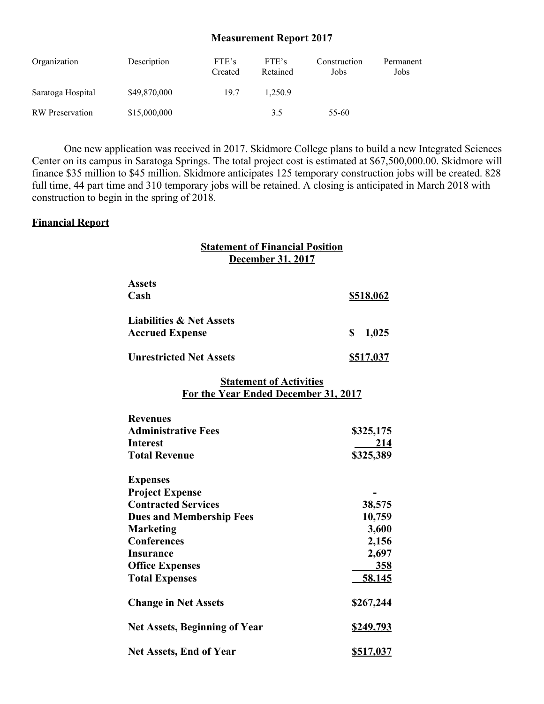#### **Measurement Report 2017**

| Organization           | Description  | FTE's<br>Created | FTE's<br>Retained | Construction<br>Jobs | Permanent<br>Jobs |
|------------------------|--------------|------------------|-------------------|----------------------|-------------------|
| Saratoga Hospital      | \$49,870,000 | 19.7             | 1.250.9           |                      |                   |
| <b>RW</b> Preservation | \$15,000,000 |                  | 3.5               | 55-60                |                   |

One new application was received in 2017. Skidmore College plans to build a new Integrated Sciences Center on its campus in Saratoga Springs. The total project cost is estimated at \$67,500,000.00. Skidmore will finance \$35 million to \$45 million. Skidmore anticipates 125 temporary construction jobs will be created. 828 full time, 44 part time and 310 temporary jobs will be retained. A closing is anticipated in March 2018 with construction to begin in the spring of 2018.

#### **Financial Report**

#### **Statement of Financial Position December 31, 2017**

| <b>Assets</b>                       |             |  |  |
|-------------------------------------|-------------|--|--|
| Cash                                | \$518,062   |  |  |
| <b>Liabilities &amp; Net Assets</b> |             |  |  |
| <b>Accrued Expense</b>              | S.<br>1,025 |  |  |
| <b>Unrestricted Net Assets</b>      | \$517,037   |  |  |

#### **Statement of Activities For the Year Ended December 31, 2017**

| <b>Revenues</b>                      |                  |
|--------------------------------------|------------------|
| <b>Administrative Fees</b>           | \$325,175        |
| <b>Interest</b>                      | 214              |
| <b>Total Revenue</b>                 | \$325,389        |
| <b>Expenses</b>                      |                  |
| <b>Project Expense</b>               |                  |
| <b>Contracted Services</b>           | 38,575           |
| <b>Dues and Membership Fees</b>      | 10,759           |
| <b>Marketing</b>                     | 3,600            |
| <b>Conferences</b>                   | 2,156            |
| Insurance                            | 2,697            |
| <b>Office Expenses</b>               | <u>358</u>       |
| <b>Total Expenses</b>                | <u>58,145</u>    |
| <b>Change in Net Assets</b>          | \$267,244        |
| <b>Net Assets, Beginning of Year</b> | <u>\$249,793</u> |
| <b>Net Assets, End of Year</b>       | \$517,037        |